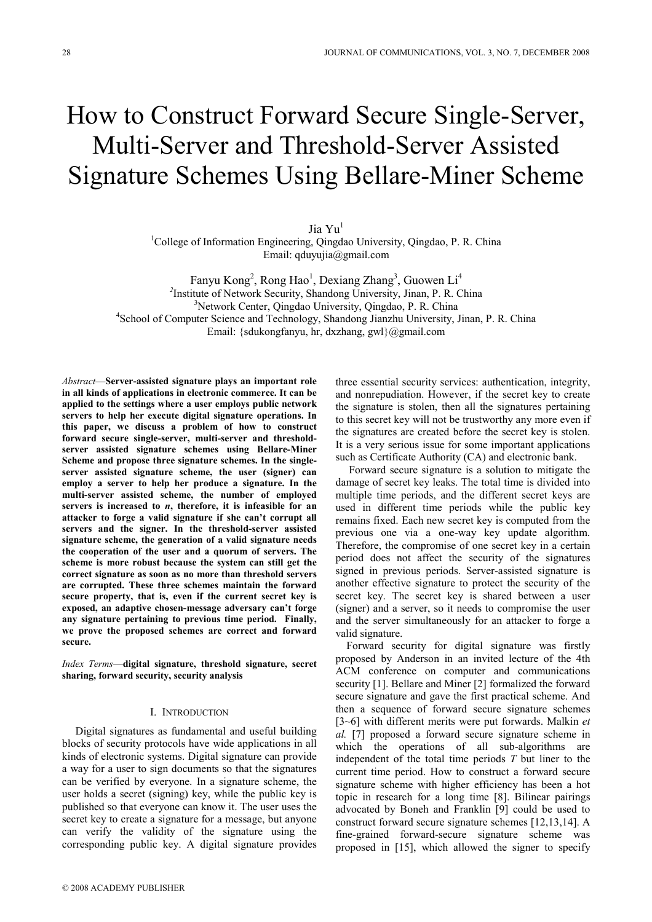# How to Construct Forward Secure Single-Server, Multi-Server and Threshold-Server Assisted Signature Schemes Using Bellare-Miner Scheme

Jia  $Yu<sup>1</sup>$ 

 $1$ College of Information Engineering, Qingdao University, Qingdao, P. R. China Email: qduyujia@gmail.com

Fanyu Kong<sup>2</sup>, Rong Hao<sup>1</sup>, Dexiang Zhang<sup>3</sup>, Guowen Li<sup>4</sup> <sup>2</sup>Institute of Network Security, Shandong University, Jinan, P. R. China <sup>3</sup>Network Center, Qingdao University, Qingdao, P. R. China <sup>4</sup> School of Computer Science and Technology, Shandong Jianzhu University, Jinan, P. R. China Email: {sdukongfanyu, hr, dxzhang, gwl}@gmail.com

Abstract—Server-assisted signature plays an important role in all kinds of applications in electronic commerce. It can be applied to the settings where a user employs public network servers to help her execute digital signature operations. In this paper, we discuss a problem of how to construct forward secure single-server, multi-server and thresholdserver assisted signature schemes using Bellare-Miner Scheme and propose three signature schemes. In the singleserver assisted signature scheme, the user (signer) can employ a server to help her produce a signature. In the multi-server assisted scheme, the number of employed servers is increased to  $n$ , therefore, it is infeasible for an attacker to forge a valid signature if she can't corrupt all servers and the signer. In the threshold-server assisted signature scheme, the generation of a valid signature needs the cooperation of the user and a quorum of servers. The scheme is more robust because the system can still get the correct signature as soon as no more than threshold servers are corrupted. These three schemes maintain the forward secure property, that is, even if the current secret key is exposed, an adaptive chosen-message adversary can't forge any signature pertaining to previous time period. Finally, we prove the proposed schemes are correct and forward secure.

Index Terms—digital signature, threshold signature, secret sharing, forward security, security analysis

#### I. INTRODUCTION

Digital signatures as fundamental and useful building blocks of security protocols have wide applications in all kinds of electronic systems. Digital signature can provide a way for a user to sign documents so that the signatures can be verified by everyone. In a signature scheme, the user holds a secret (signing) key, while the public key is published so that everyone can know it. The user uses the secret key to create a signature for a message, but anyone can verify the validity of the signature using the corresponding public key. A digital signature provides three essential security services: authentication, integrity, and nonrepudiation. However, if the secret key to create the signature is stolen, then all the signatures pertaining to this secret key will not be trustworthy any more even if the signatures are created before the secret key is stolen. It is a very serious issue for some important applications such as Certificate Authority (CA) and electronic bank.

Forward secure signature is a solution to mitigate the damage of secret key leaks. The total time is divided into multiple time periods, and the different secret keys are used in different time periods while the public key remains fixed. Each new secret key is computed from the previous one via a one-way key update algorithm. Therefore, the compromise of one secret key in a certain period does not affect the security of the signatures signed in previous periods. Server-assisted signature is another effective signature to protect the security of the secret key. The secret key is shared between a user (signer) and a server, so it needs to compromise the user and the server simultaneously for an attacker to forge a valid signature.

Forward security for digital signature was firstly proposed by Anderson in an invited lecture of the 4th ACM conference on computer and communications security [1]. Bellare and Miner [2] formalized the forward secure signature and gave the first practical scheme. And then a sequence of forward secure signature schemes [3~6] with different merits were put forwards. Malkin  $et$ al. [7] proposed a forward secure signature scheme in which the operations of all sub-algorithms are independent of the total time periods  $T$  but liner to the current time period. How to construct a forward secure signature scheme with higher efficiency has been a hot topic in research for a long time [8]. Bilinear pairings advocated by Boneh and Franklin [9] could be used to construct forward secure signature schemes [12,13,14]. A fine-grained forward-secure signature scheme was proposed in [15], which allowed the signer to specify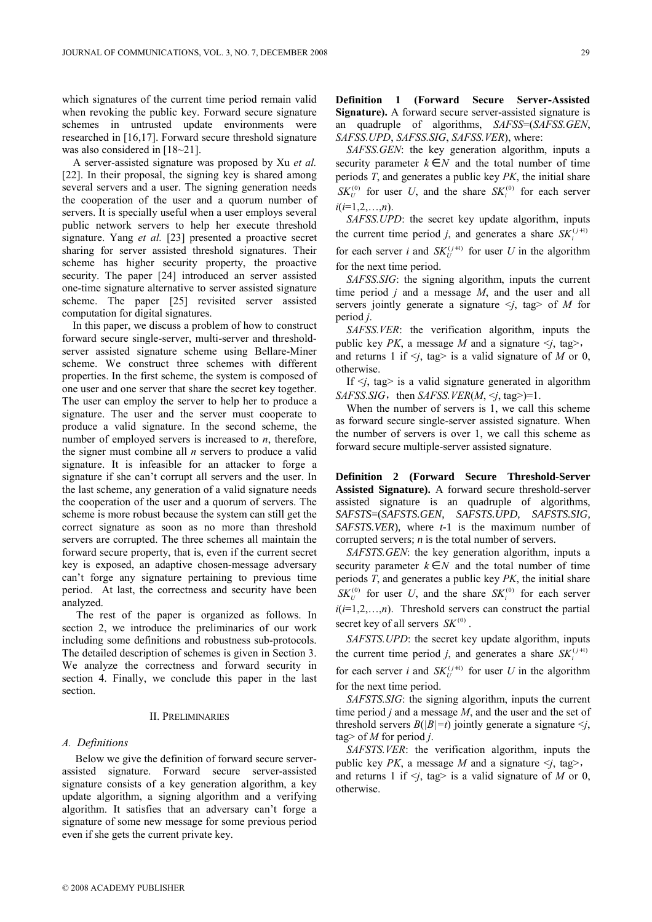which signatures of the current time period remain valid when revoking the public key. Forward secure signature schemes in untrusted update environments were researched in [16,17]. Forward secure threshold signature was also considered in [18~21].

A server-assisted signature was proposed by Xu et al. [22]. In their proposal, the signing key is shared among several servers and a user. The signing generation needs the cooperation of the user and a quorum number of servers. It is specially useful when a user employs several public network servers to help her execute threshold signature. Yang et al. [23] presented a proactive secret sharing for server assisted threshold signatures. Their scheme has higher security property, the proactive security. The paper [24] introduced an server assisted one-time signature alternative to server assisted signature scheme. The paper [25] revisited server assisted computation for digital signatures.

In this paper, we discuss a problem of how to construct forward secure single-server, multi-server and thresholdserver assisted signature scheme using Bellare-Miner scheme. We construct three schemes with different properties. In the first scheme, the system is composed of one user and one server that share the secret key together. The user can employ the server to help her to produce a signature. The user and the server must cooperate to produce a valid signature. In the second scheme, the number of employed servers is increased to  $n$ , therefore, the signer must combine all  $n$  servers to produce a valid signature. It is infeasible for an attacker to forge a signature if she can't corrupt all servers and the user. In the last scheme, any generation of a valid signature needs the cooperation of the user and a quorum of servers. The scheme is more robust because the system can still get the correct signature as soon as no more than threshold servers are corrupted. The three schemes all maintain the forward secure property, that is, even if the current secret key is exposed, an adaptive chosen-message adversary can't forge any signature pertaining to previous time period. At last, the correctness and security have been analyzed.

 The rest of the paper is organized as follows. In section 2, we introduce the preliminaries of our work including some definitions and robustness sub-protocols. The detailed description of schemes is given in Section 3. We analyze the correctness and forward security in section 4. Finally, we conclude this paper in the last section.

## II. PRELIMINARIES

### A. Definitions

Below we give the definition of forward secure serverassisted signature. Forward secure server-assisted signature consists of a key generation algorithm, a key update algorithm, a signing algorithm and a verifying algorithm. It satisfies that an adversary can't forge a signature of some new message for some previous period even if she gets the current private key.

Definition 1 (Forward Secure Server-Assisted Signature). A forward secure server-assisted signature is an quadruple of algorithms, SAFSS=(SAFSS.GEN, SAFSS.UPD, SAFSS.SIG, SAFSS.VER), where:

SAFSS. GEN: the key generation algorithm, inputs a security parameter  $k \in N$  and the total number of time periods  $T$ , and generates a public key  $PK$ , the initial share  $SK_U^{(0)}$  for user U, and the share  $SK_i^{(0)}$  for each server  $i(i=1,2,...,n)$ .

SAFSS. UPD: the secret key update algorithm, inputs the current time period j, and generates a share  $SK_i^{(j+1)}$ for each server *i* and  $SK_U^{(j+1)}$  for user *U* in the algorithm for the next time period.

SAFSS.SIG: the signing algorithm, inputs the current time period  $j$  and a message  $M$ , and the user and all servers jointly generate a signature  $\leq j$ , tag> of M for period j.

SAFSS. VER: the verification algorithm, inputs the public key *PK*, a message *M* and a signature  $\leq i$ , tag>, and returns 1 if  $\leq j$ , tag> is a valid signature of M or 0, otherwise.

If  $\leq j$ , tag> is a valid signature generated in algorithm SAFSS.SIG, then SAFSS.VER( $M$ ,  $\leq j$ , tag>)=1.

When the number of servers is 1, we call this scheme as forward secure single-server assisted signature. When the number of servers is over 1, we call this scheme as forward secure multiple-server assisted signature.

**Definition 2 (Forward Secure Threshold-Server Assisted Signature).** A forward secure threshold-server assisted signature is an quadruple of algorithms, *SAFSTS*=(*SAFSTS.GEN*, *SAFSTS.UPD*, *SAFSTS.SIG*, *SAFSTS.VER*), where *t*-1 is the maximum number of corrupted servers; *n* is the total number of servers.

SAFSTS. GEN: the key generation algorithm, inputs a security parameter  $k \in N$  and the total number of time periods  $T$ , and generates a public key  $PK$ , the initial share  $SK_U^{(0)}$  for user U, and the share  $SK_i^{(0)}$  for each server  $i(i=1,2,...,n)$ . Threshold servers can construct the partial secret key of all servers  $SK^{(0)}$ .

SAFSTS.UPD: the secret key update algorithm, inputs the current time period j, and generates a share  $SK_i^{(j+1)}$ for each server *i* and  $SK_U^{(j+1)}$  for user *U* in the algorithm for the next time period.

SAFSTS.SIG: the signing algorithm, inputs the current time period  $j$  and a message  $M$ , and the user and the set of threshold servers  $B(|B|=t)$  jointly generate a signature  $\leq j$ , tag> of  $M$  for period  $j$ .

SAFSTS. VER: the verification algorithm, inputs the public key  $PK$ , a message M and a signature  $\leq j$ , tag>, and returns 1 if  $\leq j$ , tag> is a valid signature of M or 0, otherwise.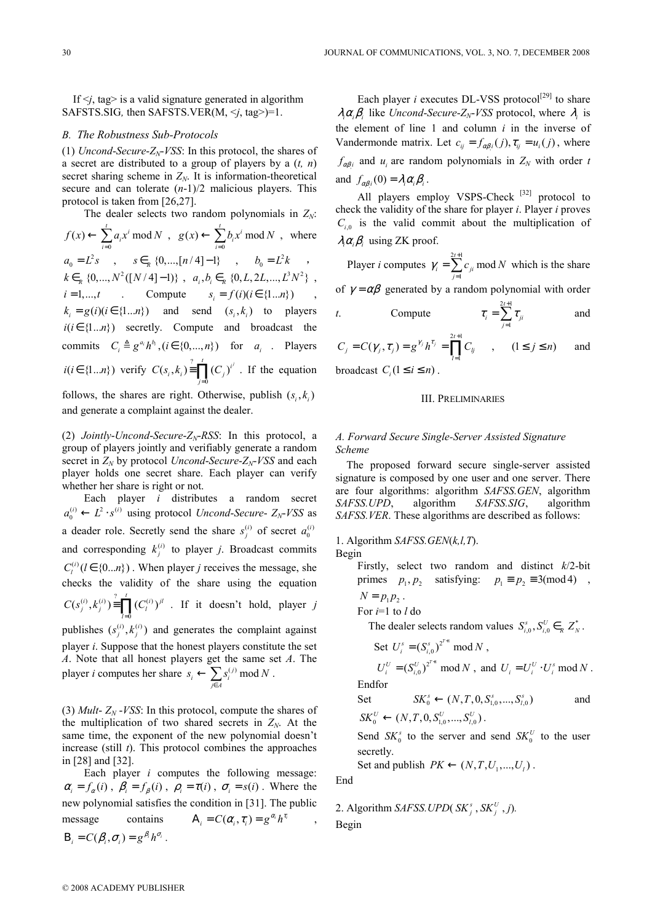If  $\leq j$ , tag> is a valid signature generated in algorithm SAFSTS.SIG, then SAFSTS.VER( $M$ ,  $\leq j$ , tag>)=1.

## B. The Robustness Sub-Protocols

(1) Uncond-Secure- $Z_N$ -VSS: In this protocol, the shares of a secret are distributed to a group of players by a  $(t, n)$ secret sharing scheme in  $Z_N$ . It is information-theoretical secure and can tolerate  $(n-1)/2$  malicious players. This protocol is taken from [26,27].

The dealer selects two random polynomials in  $Z_N$ :

$$
f(x) \leftarrow \sum_{i=0}^{t} a_i x^i \mod N, \quad g(x) \leftarrow \sum_{i=0}^{t} b_i x^i \mod N, \quad \text{where}
$$
\n
$$
a_0 = L^2 s, \quad s \in_R \{0, \dots, [n/4] - 1\}, \quad b_0 = L^2 k, \quad k \in_R \{0, \dots, N^2([N/4] - 1)\}, \quad a_i, b_i \in_R \{0, L, 2L, \dots, L^3 N^2\}, \quad i = 1, \dots, t \quad \text{Compute} \quad s_i = f(i)(i \in \{1 \dots n\}) \quad \text{and}
$$
\n
$$
k_i = g(i)(i \in \{1 \dots n\}) \quad \text{and} \quad \text{send} \quad (s_i, k_i) \quad \text{to players}
$$
\n
$$
i(i \in \{1 \dots n\}) \quad \text{secretly. Compute and broadcast thecommits } C_i \triangleq g^{a_i} h^{b_i}, (i \in \{0, \dots, n\}) \quad \text{for} \quad a_i \quad \text{Players}
$$
\n
$$
i(i \in \{1 \dots n\}) \quad \text{verify} \quad C(s_i, k_i) \equiv \prod_{j=0}^{n} (C_j)^{i^j} . \quad \text{If the equation}
$$
\nfollows, the shares are right. Otherwise, publish  $(s_i, k_i)$  and generate a complaint against the dealer.

(2) Jointly-Uncond-Secure- $Z_N$ -RSS: In this protocol, a group of players jointly and verifiably generate a random secret in  $Z_N$  by protocol Uncond-Secure- $Z_N$ -VSS and each player holds one secret share. Each player can verify whether her share is right or not.

Each player i distributes a random secret  $a_0^{(i)} \leftarrow L^2 \cdot s^{(i)}$  using protocol Uncond-Secure-  $Z_N$ -VSS as a deader role. Secretly send the share  $s_j^{(i)}$  of secret  $a_0^{(i)}$ and corresponding  $k_j^{(i)}$  to player j. Broadcast commits  $C_l^{(i)}$  ( $l \in \{0...n\}$ ). When player j receives the message, she checks the validity of the share using the equation (*i*)  $\frac{?}{L}(i) \searrow \prod_{i=1}^{n} (C^{(i)})$  $<sup>0</sup>$ </sup>  $(s_j^{(i)}, k_j^{(i)}) \equiv \prod_{l=0}^2 (C_l^{(i)})^{jl}$  $C(s_i^{(i)}, k_i^{(i)}) \equiv | \cdot | (C_i$  $\equiv \prod_{i=0} (C_i^{(i)})^{i}$  . If it doesn't hold, player j

publishes  $(s_j^{(i)}, k_j^{(i)})$  and generates the complaint against player i. Suppose that the honest players constitute the set A. Note that all honest players get the same set A. The player *i* computes her share  $s_i \leftarrow \sum_{j \in A} s_i^{(j)}$  mod  $s_i \leftarrow \sum s_i^{(j)} \mod N$  $\leftarrow \sum_{j\in A} s_i^{(j)} \mod N$ .

(3) *Mult-*  $Z_N$  *-VSS*: In this protocol, compute the shares of the multiplication of two shared secrets in  $Z_N$ . At the same time, the exponent of the new polynomial doesn't increase (still  $t$ ). This protocol combines the approaches in [28] and [32].

Each player  $i$  computes the following message:  $\alpha_i = f_\alpha(i)$ ,  $\beta_i = f_\beta(i)$ ,  $\rho_i = \tau(i)$ ,  $\sigma_i = s(i)$ . Where the new polynomial satisfies the condition in [31]. The public message contains  $A_i = C(\alpha_i, \tau_i) = g^{\alpha_i} h^{\tau_i}$ ,  $B_i = C(\beta_i, \sigma_i) = g^{\beta_i} h^{\sigma_i}$ .

Each player i executes DL-VSS protocol<sup>[29]</sup> to share  $\lambda_i \alpha_i \beta_i$  like Uncond-Secure-Z<sub>N</sub>-VSS protocol, where  $\lambda_i$  is the element of line 1 and column  $i$  in the inverse of Vandermonde matrix. Let  $c_{ij} = f_{\alpha\beta}$  (*j*),  $\tau_{ij} = u_i(j)$ , where  $f_{\alpha\beta i}$  and  $u_i$  are random polynomials in  $Z_N$  with order t and  $f_{\alpha\beta_i}(0) = \lambda_i \alpha_i \beta_i$ .

All players employ VSPS-Check [32] protocol to check the validity of the share for player  $i$ . Player  $i$  proves  $C_{i,0}$  is the valid commit about the multiplication of  $\lambda_i \alpha_i \beta_i$  using ZK proof.

Player *i* computes  $\gamma_i = \sum_{i=1}^{2t+1}$ 1  $\sum_{i=1}^{t+1} c_{ii}$  mod  $i = \sum_{j=1}^{\infty} c_{ji}$  $\gamma_i = \sum_{i=1}^{2t+1} c_{ii} \mod N$  $=\sum_{j=1}^{N} c_{ji} \mod N$  which is the share of  $\gamma = \alpha \beta$  generated by a random polynomial with order

*t*. Compute 
$$
\tau_i = \sum_{j=1}^{2t+1} \tau_{ji}
$$
 and

$$
C_j = C(\gamma_j, \tau_j) = g^{\gamma_j} h^{\tau_j} = \prod_{l=1}^{2t+1} C_{lj} \qquad , \qquad (1 \le j \le n) \qquad \text{and}
$$
  
broadcast  $C_i (1 \le i \le n)$ .

#### III. PRELIMINARIES

## A. Forward Secure Single-Server Assisted Signature Scheme

The proposed forward secure single-server assisted signature is composed by one user and one server. There are four algorithms: algorithm SAFSS.GEN, algorithm SAFSS.UPD, algorithm SAFSS.SIG, algorithm SAFSS.VER. These algorithms are described as follows:

1. Algorithm  $SAFSS. GEN(k, l, T)$ .

Begin

Firstly, select two random and distinct k/2-bit primes  $p_1, p_2$  satisfying:  $p_1 \equiv p_2 \equiv 3 \pmod{4}$ ,  $N = p_1 p_2$ .

For 
$$
i=1
$$
 to  $l$  do

The dealer selects random values  $S_{i,0}^s, S_{i,0}^U \in_R Z_N^*$ .

Set 
$$
U_i^s = (S_{i,0}^s)^{2^{T+1}}
$$
 mod N,

$$
U_i^U = (S_{i,0}^U)^{2^{T+1}}
$$
 mod N , and  $U_i = U_i^U \cdot U_i^s$  mod N.

Endfor

Set 
$$
SK_0^s \leftarrow (N, T, 0, S_{1,0}^s, ..., S_{l,0}^s)
$$
 and   
  $SK_0^t \leftarrow (N, T, 0, S_{1,0}^t, ..., S_{l,0}^s)$ 

$$
SK_0^U \leftarrow (N, T, 0, S_{1,0}^U, ..., S_{l,0}^U).
$$

Send  $SK_0^s$  to the server and send  $SK_0^U$  to the user secretly.

Set and publish  $PK \leftarrow (N, T, U_1, ..., U_l)$ .

End

2. Algorithm *SAFSS. UPD*( $SK_j^s$ ,  $SK_j^U$ , *j*). Begin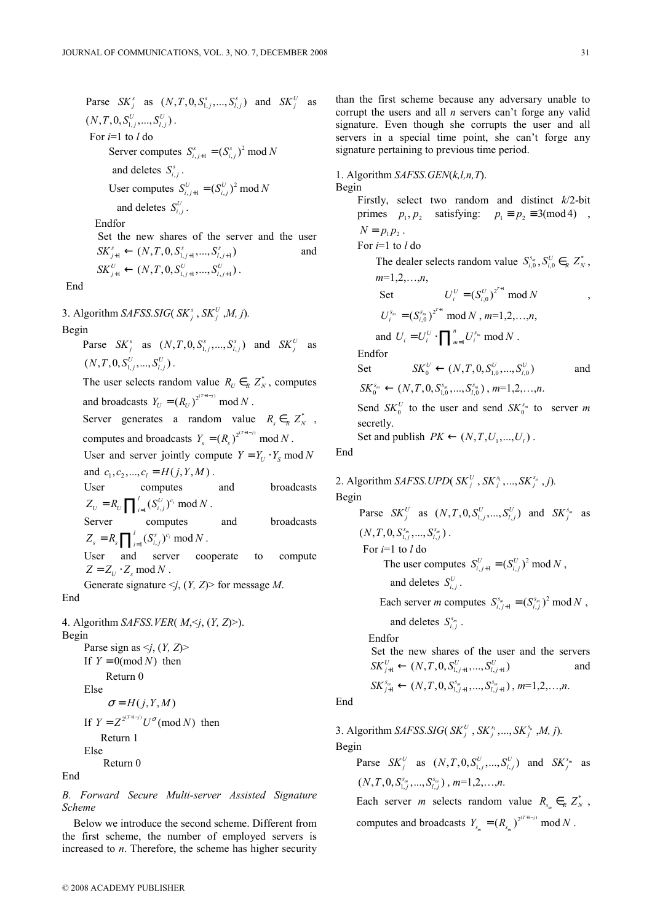Parse 
$$
SK_j^s
$$
 as  $(N, T, 0, S_{i,j}^s, \ldots, S_{i,j}^s)$  and  $SK_j^U$  as  $(N, T, 0, S_{i,j}^U, \ldots, S_{i,j}^U)$ .

\nFor  $i=1$  to  $l$  do

\nServer computes  $S_{i,j+1}^s = (S_{i,j}^s)^2 \mod N$  and deletes  $S_{i,j}^U$ .

\nUser computes  $S_{i,j+1}^U = (S_{i,j}^U)^2 \mod N$  and deletes  $S_{i,j}^U$ .

\nEnd for

\nSet the new shares of the server and the user  $SK_{j+1}^s \leftarrow (N, T, 0, S_{i,j+1}^t, \ldots, S_{i,j+1}^t)$  and  $SK_{j+1}^U \leftarrow (N, T, 0, S_{i,j+1}^U, \ldots, S_{i,j+1}^U)$ .

End

3. Algorithm SAFSS.SIG( $SK_j^s$ ,  $SK_j^U$ , M, j). Begin

> Parse  $SK_j^s$  as  $(N, T, 0, S_{1,j}^s, ..., S_{l,j}^s)$  and  $SK_j^U$  as  $(N, T, 0, S_{1,i}^U, ..., S_{j,i}^U)$ .

> The user selects random value  $R_U \in_R Z_N^*$ , computes and broadcasts  $Y_U = (R_U)^{2^{(T+1-j)}} \mod N$ .

> Server generates a random value  $R_s \in_R Z_N^*$ , computes and broadcasts  $Y_s = (R_s)^{2^{(T+1-j)}} \mod N$ .

User and server jointly compute  $Y = Y_{U} \cdot Y_{S} \text{ mod } N$ and  $c_1, c_2, ..., c_l = H(j, Y, M)$ .

User computes and broadcasts  $\int_{i=1}^l (S_{i,j}^U)^{c_i}$  mod  $Z_U = R_U \prod_{i=1}^{l} (S_{i,j}^U)^{c_i} \mod N$ .

Server computes and broadcasts  $Z_s = R_s \prod_{i=1}^{l} (S_{i,j}^s)^{c_i} \mod N$ .

User and server cooperate to compute  $Z = Z_{\scriptscriptstyle U} \cdot Z_{\scriptscriptstyle S} \text{ mod } N$ .

Generate signature  $\leq j$ ,  $(Y, Z)$  for message M.

4. Algorithm SAFSS. VER( $M \leq j$ ,  $(Y, Z)$ ). Begin Parse sign as  $\leq j$ ,  $(Y, Z)$ If  $Y = 0 \pmod{N}$  then Return 0 Else  $\sigma = H(j, Y, M)$ If  $Y = Z^{2^{(T+1-j)}} U^{\sigma} \pmod{N}$  then Return 1 Else Return 0

End

End

B. Forward Secure Multi-server Assisted Signature Scheme

Below we introduce the second scheme. Different from the first scheme, the number of employed servers is increased to  $n$ . Therefore, the scheme has higher security

than the first scheme because any adversary unable to corrupt the users and all  $n$  servers can't forge any valid signature. Even though she corrupts the user and all servers in a special time point, she can't forge any signature pertaining to previous time period.

1. Algorithm  $SAFSS. GEN(k, l, n, T)$ .

Begin Firstly, select two random and distinct  $k/2$ -bit primes  $p_1, p_2$  satisfying:  $p_1 \equiv p_2 \equiv 3 \pmod{4}$ ,  $N = p_1 p_2$ . For  $i=1$  to  $l$  do The dealer selects random value  $S_{i,0}^{s_m}, S_{i,0}^U \in_R Z_N^*$ ,  $m=1,2,...,n$ , Set  $U_i^U = (S_{i,0}^U)^{2^{T+1}} \mod N$ ,  $U_{i}^{s_m} = (S_{i,0}^{s_m})^{2^{T+1}} \mod N$ ,  $m=1,2,\ldots,n$ , and  $U_i = U_i^U \cdot \prod_{m=1}^n U_i^{s_m}$  mod  $U_i = U_i^U \cdot \prod_{m=1}^n U_i^{s_m} \mod N$ . Endfor Set  $SK_0^U \leftarrow (N, T, 0, S_{1,0}^U, ..., S_{l,0}^U)$  and  $SK_0^{s_m} \leftarrow (N, T, 0, S_{1,0}^{s_m}, ..., S_{l,0}^{s_m})$ ,  $m=1,2,...,n$ . Send  $SK_0^U$  to the user and send  $SK_0^{s_m}$  to server m secretly.

Set and publish  $PK \leftarrow (N, T, U_1, ..., U_l)$ .

End

2. Algorithm *SAFSS.UPD*( $SK_j^U$ ,  $SK_j^{s_1}$ , ...,  $SK_j^{s_n}$ , *j*). Begin Parse  $SK_j^U$  as  $(N, T, 0, S_{1,j}^U, ..., S_{l,j}^U)$  and  $SK_j^{s_m}$  as  $(N, T, 0, S_{1,i}^{s_m}, ..., S_{l,i}^{s_m})$ . For  $i=1$  to  $l$  do The user computes  $S_{i,j+1}^U = (S_{i,j}^U)^2 \mod N$ , and deletes  $S_{i,j}^U$ . Each server *m* computes  $S_{i,j+1}^{s_m} = (S_{i,j}^{s_m})^2 \mod N$ , and deletes  $S_{i,j}^{s_m}$ .

Endfor

Set the new shares of the user and the servers  
\n
$$
SK_{j+1}^U \leftarrow (N, T, 0, S_{1,j+1}^U, ..., S_{l,j+1}^U)
$$
 and  
\n $SK_{j+1}^s \leftarrow (N, T, 0, S_{1,j+1}^s, ..., S_{l,j+1}^s), m=1,2,...,n.$ 

End

3. Algorithm SAFSS.SIG( $SK_j^U$ ,  $SK_j^{s_1}$ , ...,  $SK_j^{s_n}$ , M, j). Begin

Parse  $SK_j^U$  as  $(N, T, 0, S_{1,j}^U, ..., S_{l,j}^U)$  and  $SK_j^{s_m}$  as  $(N, T, 0, S_{1,i}^{s_m},..., S_{l,i}^{s_m})$ ,  $m=1,2,...,n$ .

Each server *m* selects random value  $R_{s_m} \in_R Z_N^*$ , computes and broadcasts  $Y_s = (R_s)^{2^{(T+1-j)}}$  mod  $Y_{s_m} = (R_{s_m})^{2^{(T+1-j)}} \mod N$ .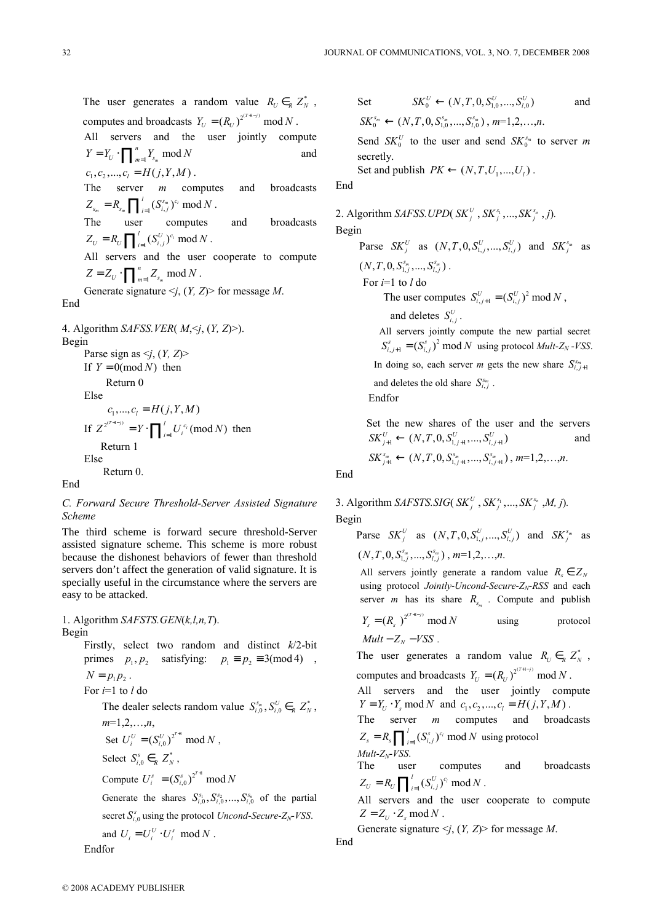The user generates a random value  $R_U \in_R Z_N^*$ , computes and broadcasts  $Y_U = (R_U)^{2^{(T+1-j)}} \mod N$ .

All servers and the user jointly compute  $Y_{s_m}$  mod n  $Y = Y_U \cdot \prod_{m=1}^{n} Y_{s_m} \text{ mod } N$  and

$$
c_1, c_2, ..., c_l = H(j, Y, M)
$$
.  
The server *m* computes and broadcast

 $_{m} = R_{s_{m}} \prod_{i=1}^{i} (S_{i,j}^{s_{m}})^{c_{i}}$  mod  $Z_{s_m} = R_{s_m} \prod_{i=1}^{l} (S_{i,j}^{s_m})^{c_i} \mod N$ .

The user computes and broadcasts  $_{i=1}^{l}(S_{i,j}^{U})^{c_{i}}$  mod  $Z_U = R_U \prod_{i=1}^{l} (S_{i,j}^U)^{c_i} \mod N$ .

All servers and the user cooperate to compute  $Z_{s_m}$  mod n  $Z = Z_U \cdot \prod_{m=1}^{n} Z_{s_m} \mod N$ .

Generate signature  $\leq j$ ,  $(Y, Z)$  for message M.

End

4. Algorithm SAFSS. VER( $M \leq j$ ,  $(Y, Z)$ ). Begin Parse sign as  $\leq j$ ,  $(Y, Z)$ If  $Y = 0 \pmod{N}$  then Return 0 Else  $c_1, ..., c_l = H(j, Y, M)$ If  $Z^{2^{(T+1-j)}}$  $Z^{2^{(T+1-j)}} = Y \cdot \prod_{i=1}^{l} U_i^{c_i} \pmod{N}$  $= Y \cdot \prod_{i=1}^{l} U_i^{c_i} \pmod{N}$  then Return 1 Else Return 0.

End

# C. Forward Secure Threshold-Server Assisted Signature Scheme

The third scheme is forward secure threshold-Server assisted signature scheme. This scheme is more robust because the dishonest behaviors of fewer than threshold servers don't affect the generation of valid signature. It is specially useful in the circumstance where the servers are easy to be attacked.

1. Algorithm  $SAFSTS.GEN(k, l, n, T)$ . Begin

> Firstly, select two random and distinct  $k/2$ -bit primes  $p_1, p_2$  satisfying:  $p_1 \equiv p_2 \equiv 3 \pmod{4}$ ,  $N = p_1 p_2$ .

For  $i=1$  to  $l$  do

The dealer selects random value  $S_{i,0}^{s_m}, S_{i,0}^U \in_R Z_N^*$ ,  $m=1,2,...,n$ , Set  $U_i^U = (S_{i,0}^U)^{2^{T+1}} \mod N$ ,

Select  $S_{i,0}^s \in_R Z_N^*$ ,

Compute  $U_i^s = (S_{i,0}^s)^{2^{T+1}} \mod N$ 

Generate the shares  $S_{i,0}^{s_1}, S_{i,0}^{s_2}, \ldots, S_{i,0}^{s_n}$  of the partial secret  $S_{i,0}^s$  using the protocol Uncond-Secure- $Z_N$ -VSS. and  $U_i = U_i^U \cdot U_i^s \mod N$ .

Endfor

Set 
$$
SK_0^U \leftarrow (N, T, 0, S_{1,0}^U, \ldots, S_{l,0}^U)
$$
 and   
\n $SK_0^{s_m} \leftarrow (N, T, 0, S_{1,0}^{s_m}, \ldots, S_{l,0}^{s_m})$ ,  $m=1,2,\ldots,n$ .  
\nSend  $SK_0^U$  to the user and send  $SK_0^{s_m}$  to server *m* secretlv.

Set and publish  $PK \leftarrow (N, T, U_1, ..., U_l)$ .

End

2. Algorithm *SAFSS.UPD*( $\overline{SK}_j^U$ ,  $\overline{SK}_j^{s_1}$ , ...,  $\overline{SK}_j^{s_n}$ , *j*). Begin Parse  $SK_j^U$  as  $(N, T, 0, S_{1,j}^U, ..., S_{l,j}^U)$  and  $SK_j^{s_m}$  as

$$
(N, T, 0, S_{1,j}^{s_m},..., S_{l,j}^{s_m}).
$$

For  $i=1$  to  $l$  do

The user computes  $S_{i,j+1}^U = (S_{i,j}^U)^2 \mod N$ ,

and deletes  $S_{i,j}^U$ .

 All servers jointly compute the new partial secret  $S_{i,j+1}^s = (S_{i,j}^s)^2 \mod N$  using protocol *Mult-Z<sub>N</sub>* -*VSS*.

In doing so, each server *m* gets the new share  $S_{i,j+1}^{s_m}$ 

and deletes the old share  $S_{i,j}^{s_m}$ .

Endfor

Set the new shares of the user and the servers  $SK_{j+1}^U \leftarrow (N, T, 0, S_{1,j+1}^U, ..., S_{l,j+1}^U)$  and

 $SK_{j+1}^{s_m} \leftarrow (N, T, 0, S_{1,j+1}^{s_m}, ..., S_{l,j+1}^{s_m})$ ,  $m=1,2,...,n$ .

End

3. Algorithm SAFSTS.SIG( $SK_j^U$ ,  $SK_j^{s_1}$ ,...,  $SK_j^{s_n}$ , M, j). Begin

Parse  $SK_j^U$  as  $(N, T, 0, S_{1,j}^U, ..., S_{l,j}^U)$  and  $SK_j^{s_m}$  as  $(N, T, 0, S_{1,i}^{s_m},..., S_{l,i}^{s_m})$ ,  $m=1,2,...,n$ .

All servers jointly generate a random value  $R_s \in Z_N$ using protocol Jointly-Uncond-Secure- $Z_N$ -RSS and each server *m* has its share  $R_{s_m}$ . Compute and publish

 $Y_s = (R_s)^{2^{(T+1-j)}} \mod N$  using protocol  $Mult - Z_N - VSS$ .

The user generates a random value  $R_U \in_R Z_N^*$ , computes and broadcasts  $Y_U = (R_U)^{2^{(T+1-j)}} \mod N$ .

All servers and the user jointly compute  $Y = Y_U \cdot Y_s \text{ mod } N \text{ and } c_1, c_2, ..., c_l = H(j, Y, M)$ . The server  $m$  computes and broadcasts  $Z_s = R_s \prod_{i=1}^{l} (S_{i,j}^s)^{c_i} \mod N$  using protocol

 $Mult-Z_{N}$ -VSS.

The user computes and broadcasts  $_{i=1}^l (S_{i,j}^U)^{c_i}$  mod  $Z_U = R_U \prod_{i=1}^{l} (S_{i,j}^U)^{c_i} \mod N$ .

All servers and the user cooperate to compute  $Z = Z_{U} \cdot Z_{S} \mod N$ .

Generate signature  $\leq j$ ,  $(Y, Z)$  for message M.

End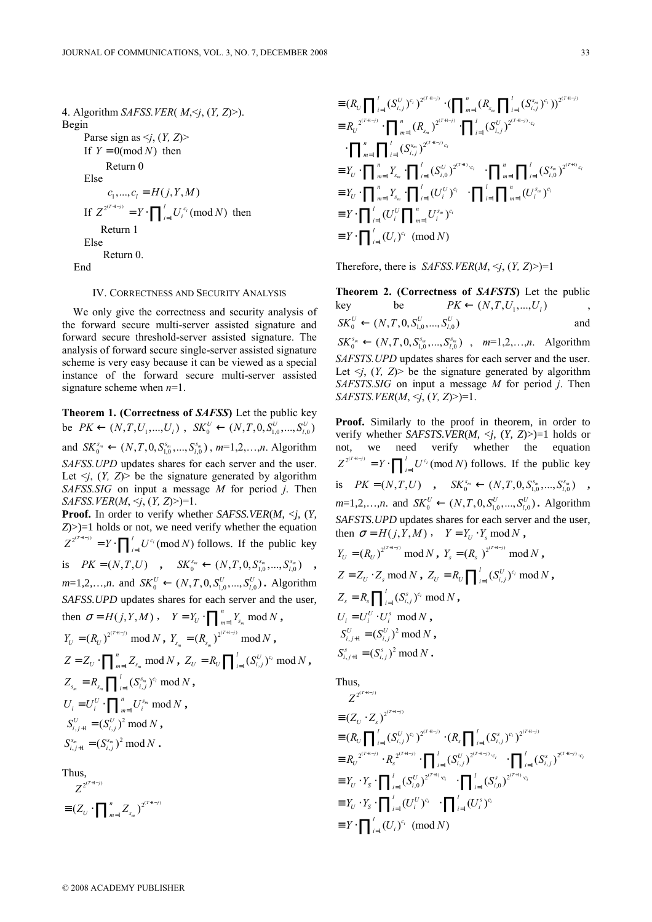```
4. Algorithm SAFSS. VER(M, \leq j, (Y, Z)).
Begin 
      Parse sign as \leq j, (Y, Z)If Y = 0 \pmod{N} then
             Return 0 
      Else 
              c_1, ..., c_l = H(j, Y, M)If Z^{2^{(T+1-j)}}Z^{2^{(T+1-j)}} = Y \cdot \prod_{i=1}^{l} U_i^{c_i} \pmod{N}= Y \cdot \prod_{i=1}^{l} U_i^{c_i} \pmod{N} then
            Return 1 
      Else 
             Return 0. 
   End
```
## IV. CORRECTNESS AND SECURITY ANALYSIS

We only give the correctness and security analysis of the forward secure multi-server assisted signature and forward secure threshold-server assisted signature. The analysis of forward secure single-server assisted signature scheme is very easy because it can be viewed as a special instance of the forward secure multi-server assisted signature scheme when  $n=1$ .

Theorem 1. (Correctness of SAFSS) Let the public key be  $PK \leftarrow (N, T, U_1, ..., U_l)$ ,  $SK_0^U \leftarrow (N, T, 0, S_{1,0}^U, ..., S_{l,0}^U)$ and  $SK_0^{s_m} \leftarrow (N, T, 0, S_{1,0}^{s_m}, ..., S_{l,0}^{s_m})$ ,  $m=1,2,...,n$ . Algorithm SAFSS.UPD updates shares for each server and the user. Let  $\leq j$ ,  $(Y, Z)$  be the signature generated by algorithm  $SAFSS.SIG$  on input a message M for period j. Then  $SAFSS. VER(M, \leq j, (Y, Z) > )=1.$ **Proof.** In order to verify whether *SAFSS.VER*(*M*, <*j*, (*Y, Z*)>)=1 holds or not*,* we need verify whether the equation  $2^{(T+1-j)}$  $T^{(T+1-j)} = Y \cdot \prod_{i=1}^{l} U^{c_i} \pmod{N}$  1  $Z^{2^{(T+1-j)}} = Y \cdot \prod_{i=1}^{l} U^{c_i} \pmod{N}$  $= Y \cdot \prod_{i=1}^{l} U^{c_i} \pmod{N}$  follows. If the public key is  $PK = (N, T, U)$ ,  $SK_0^{s_m} \leftarrow (N, T, 0, S_{1,0}^{s_m}, ..., S_{l,0}^{s_m})$ ,  $m=1,2,...,n$ . and  $SK_0^U \leftarrow (N,T,0, S_{1,0}^U,..., S_{l,0}^U)$ . Algorithm SAFSS. UPD updates shares for each server and the user, then  $\sigma = H(j, Y, M)$ ,  $Y = Y_U \cdot \prod_{m=1}^{n} Y_{s_m} \mod$ n  $Y = Y_U \cdot \prod_{m=1}^n Y_{s_m} \mod N$ ,  $Y_U = (R_U)^{2^{(T+1-j)}} \mod N$ ,  $Y_{s_m} = (R_{s_m})^{2^{(T+1-j)}} \mod N$  $Y_{s_m} = (R_{s_m})^{2^{(T+1-j)}} \mod N$ ,  $Z_{s_m}$  mod n  $Z = Z_U \cdot \prod_{m=1}^{n} Z_{s_m} \mod N$ ,  $Z_U = R_U \prod_{i=1}^{l} (S_{i,j}^U)^{c_i} \mod N$  $Z_U = R_U \prod_{i=1}^{l} (S_{i,j}^U)^{c_i} \mod N$ ,  $_{m} = R_{s_{m}} \prod_{i=1}^{i} (S_{i,j}^{s_{m}})^{c_{i}}$  mod  $Z_{s_m} = R_{s_m} \prod_{i=1}^{l} (S_{i,j}^{s_m})^{c_i} \mod N$ ,  $\bigcup_{i}^{U} \cdot \prod_{m=1}^{n} U_{i}^{s_m} \text{ mod }$  $U_i = U_i^U \cdot \prod_{m=1}^n U_i^{s_m} \mod N$ ,  $S_{i,j+1}^U = (S_{i,j}^U)^2 \mod N$ ,  $S_{i,j+1}^{s_m} = (S_{i,j}^{s_m})^2 \mod N$ .

Thus,

 $Z^{2^{(T+1-j)}}$  $2^{(T+1-j)}$  $(Z_U \cdot \prod_{m=1}^n Z_{s_m})^{2^{(T+1-j)}}$ m n  $Z_U \cdot \prod\nolimits_{m = 1}^n Z_{s_m}^{\phantom{1}} \big)^{2^{(T + 1 - \varepsilon)}}$  $\equiv (Z_U \cdot \prod_{m=1}^n$ 

$$
\begin{split}\n&= (R_U \prod_{i=1}^l (S_{i,j}^U)^{c_i})^{2^{(T+l-j)}} \cdot (\prod_{m=1}^n (R_{s_m} \prod_{i=1}^l (S_{i,j}^{s_m})^{c_i}))^{2^{(T+l-j)}} \\
&= R_U^{2^{(T+l-j)}} \cdot \prod_{m=1}^n (R_{s_m})^{2^{(T+l-j)}} \cdot \prod_{i=1}^l (S_{i,j}^U)^{2^{(T+l-j)} \cdot c_i} \\
&\cdot \prod_{m=1}^n \prod_{i=1}^l (S_{i,j}^{s_m})^{2^{(T+l-j)} \cdot c_i} \\
&= Y_U \cdot \prod_{m=1}^n Y_{s_m} \cdot \prod_{i=1}^l (S_{i,0}^U)^{2^{(T+l)} \cdot c_i} \quad \cdot \prod_{m=1}^n \prod_{i=1}^l (S_{i,0}^{s_m})^{2^{(T+l)} \cdot c_i} \\
&= Y_U \cdot \prod_{m=1}^n Y_{s_m} \cdot \prod_{i=1}^l (U_i^U)^{c_i} \quad \cdot \prod_{i=1}^l \prod_{m=1}^n (U_i^{s_m})^{c_i} \\
&= Y \cdot \prod_{i=1}^l (U_i^U \prod_{m=1}^n U_i^{s_m})^{c_i} \\
&= Y \cdot \prod_{i=1}^l (U_i)^{c_i} \pmod{N}\n\end{split}
$$

Therefore, there is  $SAFSS. VER(M, \leq j, (Y, Z) >)=1$ 

Theorem 2. (Correctness of SAFSTS) Let the public key be  $PK \leftarrow (N, T, U_1, ..., U_l)$ ,  $SK_0^U \leftarrow (N, T, 0, S_{1,0}^U, ..., S_{l,0}^U)$  and  $SK_0^{s_m} \leftarrow (N, T, 0, S_{1,0}^{s_m}, ..., S_{l,0}^{s_m})$ ,  $m=1,2,...,n$ . Algorithm SAFSTS.UPD updates shares for each server and the user.

Let  $\leq i$ ,  $(Y, Z)$  be the signature generated by algorithm  $SAFSTS.SIG$  on input a message M for period *j*. Then  $SAFSTS.VER(M, \leq j, (Y, Z) \geq)=1.$ 

**Proof.** Similarly to the proof in theorem, in order to verify whether *SAFSTS.VER*(*M*, <*j*, (*Y, Z*)>)=1 holds or not*,* we need verify whether the equation  $2^{(T+1-j)}$  $T^{(T+1-j)} = Y \cdot \prod_{i=1}^{l} U^{c_i} \pmod{N}$  i  $Z^{2^{(T+1-j)}} = Y \cdot \prod_{i=1}^{l} U^{c_i} \pmod{N}$  $= Y \cdot \prod_{i=1}^{l} U^{c_i} \pmod{N}$  follows. If the public key is  $PK = (N, T, U)$ ,  $SK_0^{s_m} \leftarrow (N, T, 0, S_{1,0}^{s_m}, ..., S_{l,0}^{s_m})$ ,  $m=1,2,...,n$ . and  $SK_0^U \leftarrow (N,T,0, S_{1,0}^U,..., S_{l,0}^U)$ . Algorithm *SAFSTS.UPD* updates shares for each server and the user, then  $\sigma = H(j, Y, M)$ ,  $Y = Y_U \cdot Y_s \text{ mod } N$ ,  $Y_U = (R_U)^{2^{(T+1-j)}} \mod N$ ,  $Y_s = (R_s)^{2^{(T+1-j)}} \mod N$ ,  $Z = Z_U \cdot Z_s \text{ mod } N$ ,  $Z_U = R_U \prod_{i=1}^{l} (S_{i,j}^U)^{c_i} \text{ mod } N$  $Z_U = R_U \prod_{i=1}^{l} (S_{i,j}^U)^{c_i} \mod N$ ,  $Z_s = R_s \prod_{i=1}^{l} (S_{i,j}^s)^{c_i} \mod N$ ,  $U_i = U_i^U \cdot U_i^s \mod N$ ,

$$
S_{i,j+1}^U = (S_{i,j}^U)^2 \mod N,
$$
  

$$
S_{i,j+1}^S = (S_{i,j}^U)^2 \mod N.
$$

Thus,

$$
Z^{2^{(T+1-j)}}
$$
  
\n
$$
\equiv (Z_U \cdot Z_s)^{2^{(T+1-j)}}
$$
  
\n
$$
\equiv (R_U \prod_{i=1}^l (S_{i,j}^U)^{c_i})^{2^{(T+1-j)}} \cdot (R_s \prod_{i=1}^l (S_{i,j}^s)^{c_i})^{2^{(T+1-j)}}
$$
  
\n
$$
\equiv R_U^{2^{(T+1-j)}} \cdot R_s^{2^{(T+1-j)}} \cdot \prod_{i=1}^l (S_{i,j}^U)^{2^{(T+1-j)} \cdot c_i} \cdot \prod_{i=1}^l (S_{i,j}^s)^{2^{(T+1-j)} \cdot c_i}
$$
  
\n
$$
\equiv Y_U \cdot Y_s \cdot \prod_{i=1}^l (S_{i,0}^U)^{2^{(T+1)} \cdot c_i} \cdot \prod_{i=1}^l (S_{i,0}^s)^{2^{(T+1)} \cdot c_i}
$$
  
\n
$$
\equiv Y_U \cdot Y_s \cdot \prod_{i=1}^l (U_i^U)^{c_i} \cdot \prod_{i=1}^l (U_i^s)^{c_i}
$$
  
\n
$$
\equiv Y \cdot \prod_{i=1}^l (U_i)^{c_i} \pmod{N}
$$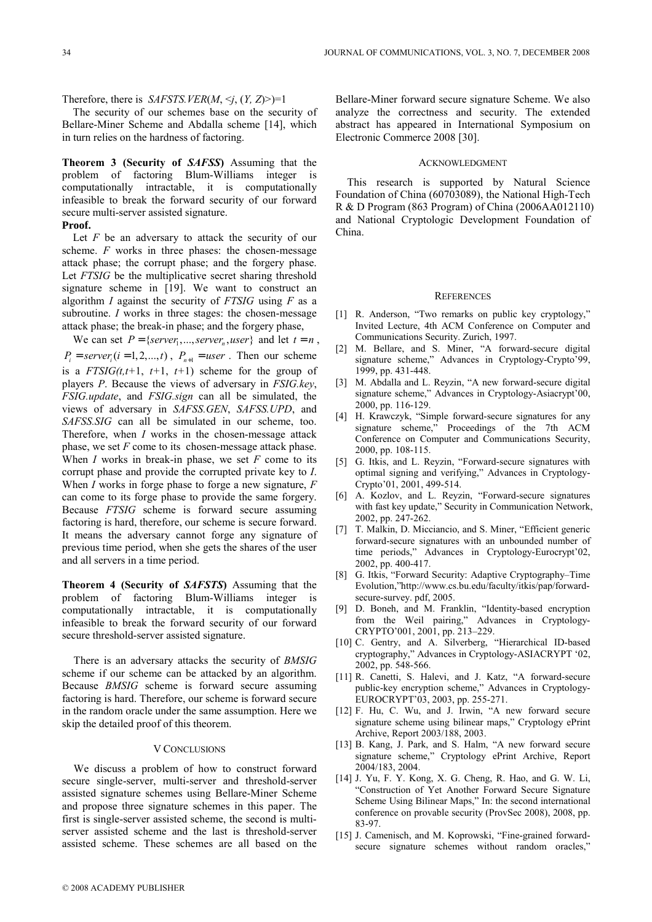Therefore, there is *SAFSTS.VER(M,*  $\le j$ *, (Y, Z)*>)=1

The security of our schemes base on the security of Bellare-Miner Scheme and Abdalla scheme [14], which in turn relies on the hardness of factoring.

Theorem 3 (Security of SAFSS) Assuming that the problem of factoring Blum-Williams integer computationally intractable, it is computationally infeasible to break the forward security of our forward secure multi-server assisted signature.

## **Proof.**

Let  $F$  be an adversary to attack the security of our scheme. F works in three phases: the chosen-message attack phase; the corrupt phase; and the forgery phase. Let *FTSIG* be the multiplicative secret sharing threshold signature scheme in [19]. We want to construct an algorithm I against the security of  $FTSIG$  using  $F$  as a subroutine. I works in three stages: the chosen-message attack phase; the break-in phase; and the forgery phase,

We can set  $P = \{server_1, ..., server_n, user\}$  and let  $t = n$ ,  $P_i = server_i (i = 1,2,..., t)$ ,  $P_{n+1} = user$ . Then our scheme is a  $FTSIG(t, t+1, t+1, t+1)$  scheme for the group of players P. Because the views of adversary in FSIG.key, FSIG.update, and FSIG.sign can all be simulated, the views of adversary in SAFSS.GEN, SAFSS.UPD, and SAFSS.SIG can all be simulated in our scheme, too. Therefore, when I works in the chosen-message attack phase, we set  $F$  come to its chosen-message attack phase. When  $I$  works in break-in phase, we set  $F$  come to its corrupt phase and provide the corrupted private key to I. When  $I$  works in forge phase to forge a new signature,  $F$ can come to its forge phase to provide the same forgery. Because FTSIG scheme is forward secure assuming factoring is hard, therefore, our scheme is secure forward. It means the adversary cannot forge any signature of previous time period, when she gets the shares of the user and all servers in a time period.

Theorem 4 (Security of SAFSTS) Assuming that the problem of factoring Blum-Williams integer is computationally intractable, it is computationally infeasible to break the forward security of our forward secure threshold-server assisted signature.

There is an adversary attacks the security of *BMSIG* scheme if our scheme can be attacked by an algorithm. Because BMSIG scheme is forward secure assuming factoring is hard. Therefore, our scheme is forward secure in the random oracle under the same assumption. Here we skip the detailed proof of this theorem.

#### V CONCLUSIONS

We discuss a problem of how to construct forward secure single-server, multi-server and threshold-server assisted signature schemes using Bellare-Miner Scheme and propose three signature schemes in this paper. The first is single-server assisted scheme, the second is multiserver assisted scheme and the last is threshold-server assisted scheme. These schemes are all based on the Bellare-Miner forward secure signature Scheme. We also analyze the correctness and security. The extended abstract has appeared in International Symposium on Electronic Commerce 2008 [30].

## ACKNOWLEDGMENT

This research is supported by Natural Science Foundation of China (60703089), the National High-Tech R & D Program (863 Program) of China (2006AA012110) and National Cryptologic Development Foundation of China.

#### **REFERENCES**

- [1] R. Anderson, "Two remarks on public key cryptology," Invited Lecture, 4th ACM Conference on Computer and Communications Security. Zurich, 1997.
- [2] M. Bellare, and S. Miner, "A forward-secure digital signature scheme," Advances in Cryptology-Crypto'99, 1999, pp. 431-448.
- [3] M. Abdalla and L. Reyzin, "A new forward-secure digital signature scheme," Advances in Cryptology-Asiacrypt'00, 2000, pp. 116-129.
- [4] H. Krawczyk, "Simple forward-secure signatures for any signature scheme," Proceedings of the 7th ACM Conference on Computer and Communications Security, 2000, pp. 108-115.
- [5] G. Itkis, and L. Reyzin, "Forward-secure signatures with optimal signing and verifying," Advances in Cryptology-Crypto'01, 2001, 499-514.
- [6] A. Kozlov, and L. Reyzin, "Forward-secure signatures with fast key update," Security in Communication Network, 2002, pp. 247-262.
- [7] T. Malkin, D. Micciancio, and S. Miner, "Efficient generic forward-secure signatures with an unbounded number of time periods," Advances in Cryptology-Eurocrypt'02, 2002, pp. 400-417.
- [8] G. Itkis, "Forward Security: Adaptive Cryptography–Time Evolution,"http://www.cs.bu.edu/faculty/itkis/pap/forwardsecure-survey. pdf, 2005.
- [9] D. Boneh, and M. Franklin, "Identity-based encryption from the Weil pairing," Advances in Cryptology-CRYPTO'001, 2001, pp. 213–229.
- [10] C. Gentry, and A. Silverberg, "Hierarchical ID-based cryptography," Advances in Cryptology-ASIACRYPT '02, 2002, pp. 548-566.
- [11] R. Canetti, S. Halevi, and J. Katz, "A forward-secure public-key encryption scheme," Advances in Cryptology-EUROCRYPT'03, 2003, pp. 255-271.
- [12] F. Hu, C. Wu, and J. Irwin, "A new forward secure signature scheme using bilinear maps," Cryptology ePrint Archive, Report 2003/188, 2003.
- [13] B. Kang, J. Park, and S. Halm, "A new forward secure signature scheme," Cryptology ePrint Archive, Report 2004/183, 2004.
- [14] J. Yu, F. Y. Kong, X. G. Cheng, R. Hao, and G. W. Li, "Construction of Yet Another Forward Secure Signature Scheme Using Bilinear Maps," In: the second international conference on provable security (ProvSec 2008), 2008, pp. 83-97.
- [15] J. Camenisch, and M. Koprowski, "Fine-grained forwardsecure signature schemes without random oracles,"